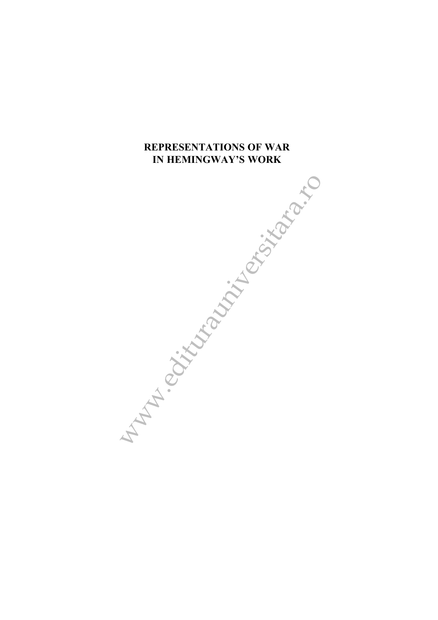# **REPRESENTATIONS OF WAR IN HEMINGWAY'S WORK**

With Block and With British Rando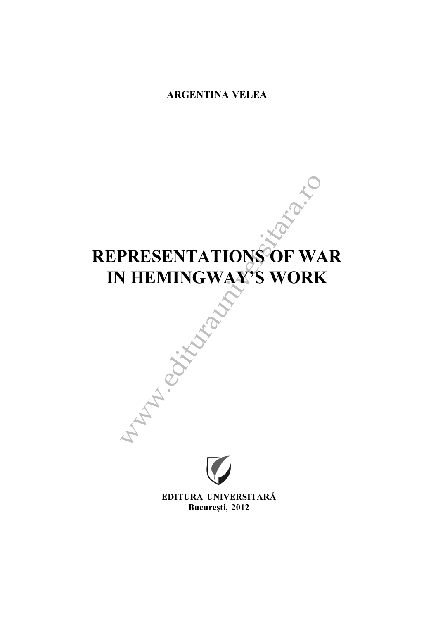# **ARGENTINA VELEA**

# www.edituralism.com **REPRESENTATIONS OF WAR IN HEMINGWAY'S WORK**



**EDITURA UNIVERSITARÃ București, 2012**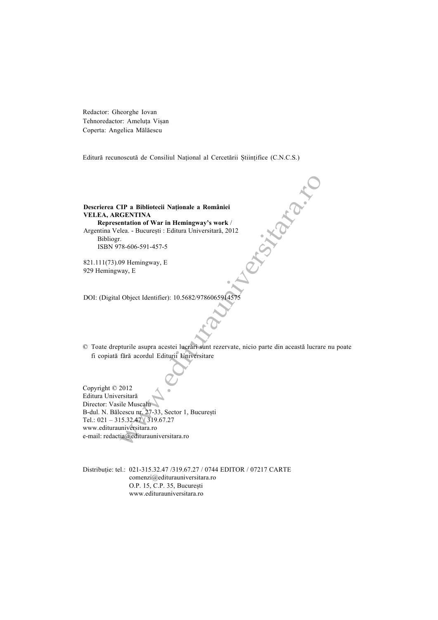Redactor: Gheorghe Iovan Tehnoredactor: Ameluța Vișan Coperta: Angelica Mãlãescu

Editură recunoscută de Consiliul Național al Cercetării Științifice (C.N.C.S.)

### Descrierea CIP a Bibliotecii Nationale a României **VELEA, ARGENTINA Representation of War in Hemingway's work** /

Argentina Velea. - București : Editura Universitară, 2012 Bibliogr. ISBN 978-606-591-457-5

821.111(73).09 Hemingway, E 929 Hemingway, E

DOI: (Digital Object Identifier): 10.5682/97860659145

© Toate drepturile asupra acestei lucrãri sunt rezervate, nicio parte din aceastã lucrare nu poate fi copiatã fãrã acordul Editurii Universitare

EP a Bibliotecii Naționale a României<br>
CENTINA<br>
Intation of War in Hemingway's work /<br>
Lea. - București : Editura Universitară, 2012<br>
78-606-591-457-5<br>
99 Hemingway, E<br>
way, E<br>
Way, E<br>
Object Identifier): 10.5682/97860659 Copyright © 2012 Editura Universitarã Director: Vasile Muscalu B-dul. N. Bălcescu nr. 27-33, Sector 1, București Tel.: 021 – 315.32.47 / 319.67.27 www.editurauniversitara.ro e-mail: redactia@editurauniversitara.ro

Distribuþie: tel.: 021-315.32.47 /319.67.27 / 0744 EDITOR / 07217 CARTE comenzi@editurauniversitara.ro O.P. 15, C.P. 35, București www.editurauniversitara.ro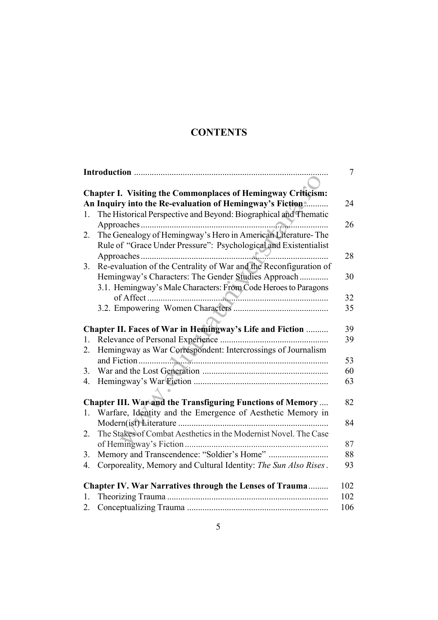# **CONTENTS**

| $\tau$ |                                                                       |
|--------|-----------------------------------------------------------------------|
|        |                                                                       |
|        | <b>Chapter I. Visiting the Commonplaces of Hemingway Criticism:</b>   |
|        | An Inquiry into the Re-evaluation of Hemingway's Fiction<br>24        |
| 1.     | The Historical Perspective and Beyond: Biographical and Thematic      |
|        | 26                                                                    |
| 2.     | The Genealogy of Hemingway's Hero in American Literature-The          |
|        | Rule of "Grace Under Pressure": Psychological and Existentialist      |
|        | 28                                                                    |
| 3.     | Re-evaluation of the Centrality of War and the Reconfiguration of     |
|        | Hemingway's Characters: The Gender Studies Approach<br>30             |
|        | 3.1. Hemingway's Male Characters: From Code Heroes to Paragons        |
|        | 32                                                                    |
|        | 35                                                                    |
|        |                                                                       |
|        | Chapter II. Faces of War in Hemingway's Life and Fiction<br>39        |
| 1.     | 39                                                                    |
| 2.     | Hemingway as War Correspondent: Intercrossings of Journalism          |
|        | 53                                                                    |
| 3.     | 60                                                                    |
| 4.     | 63                                                                    |
|        |                                                                       |
|        | Chapter III. War and the Transfiguring Functions of Memory<br>82      |
| 1.     | Warfare, Identity and the Emergence of Aesthetic Memory in            |
|        | 84                                                                    |
| 2.     | The Stakes of Combat Aesthetics in the Modernist Novel. The Case      |
|        | 87                                                                    |
| 3.     | 88                                                                    |
| 4.     | Corporeality, Memory and Cultural Identity: The Sun Also Rises.<br>93 |
|        | 102<br><b>Chapter IV. War Narratives through the Lenses of Trauma</b> |
| 1.     | 102                                                                   |
| 2.     | 106                                                                   |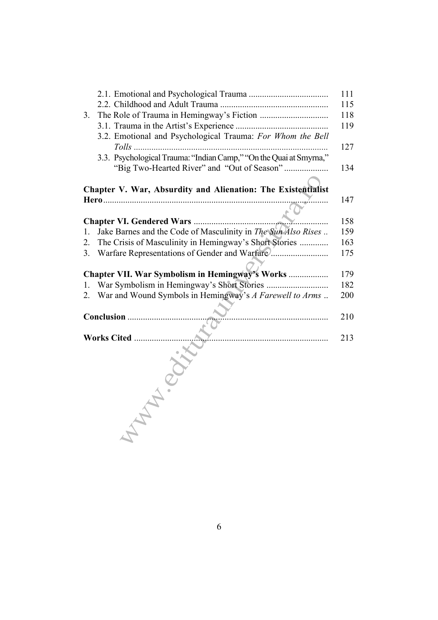|                                                 |                                                                    | 111 |
|-------------------------------------------------|--------------------------------------------------------------------|-----|
|                                                 |                                                                    | 115 |
| 3.                                              |                                                                    | 118 |
|                                                 |                                                                    | 119 |
|                                                 | 3.2. Emotional and Psychological Trauma: For Whom the Bell         | 127 |
|                                                 | 3.3. Psychological Trauma: "Indian Camp," "On the Quai at Smyrna," |     |
|                                                 |                                                                    | 134 |
|                                                 | Chapter V. War, Absurdity and Alienation: The Existentialist       |     |
|                                                 |                                                                    | 147 |
|                                                 |                                                                    | 158 |
| 1.                                              | Jake Barnes and the Code of Masculinity in The Sun Also Rises      | 159 |
| 2.                                              | The Crisis of Masculinity in Hemingway's Short Stories             | 163 |
| 3.                                              | Warfare Representations of Gender and Warfare                      | 175 |
|                                                 |                                                                    |     |
| Chapter VII. War Symbolism in Hemingway's Works |                                                                    | 179 |
| 1.                                              |                                                                    | 182 |
| 2.                                              | War and Wound Symbols in Hemingway's A Farewell to Arms            | 200 |
|                                                 |                                                                    |     |
|                                                 |                                                                    | 210 |
|                                                 | Works Cited                                                        | 213 |
|                                                 |                                                                    |     |
|                                                 |                                                                    |     |
|                                                 |                                                                    |     |
|                                                 |                                                                    |     |

6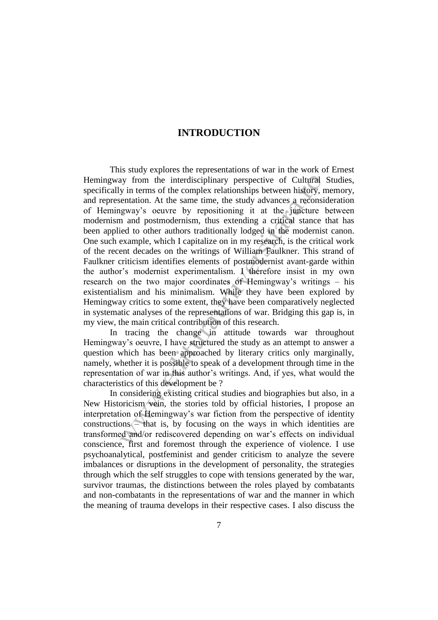## **INTRODUCTION**

ay from the interdisciplinary perspective of Cultural s<br>y in terms of the complex relationships between history, m<br>entation. At the same time, the start and yadvances a reconside<br>gravy's ocurve by repositioning it at the This study explores the representations of war in the work of Ernest Hemingway from the interdisciplinary perspective of Cultural Studies, specifically in terms of the complex relationships between history, memory, and representation. At the same time, the study advances a reconsideration of Hemingway's oeuvre by repositioning it at the juncture between modernism and postmodernism, thus extending a critical stance that has been applied to other authors traditionally lodged in the modernist canon. One such example, which I capitalize on in my research, is the critical work of the recent decades on the writings of William Faulkner. This strand of Faulkner criticism identifies elements of postmodernist avant-garde within the author's modernist experimentalism. I therefore insist in my own research on the two major coordinates of Hemingway's writings – his existentialism and his minimalism. While they have been explored by Hemingway critics to some extent, they have been comparatively neglected in systematic analyses of the representations of war. Bridging this gap is, in my view, the main critical contribution of this research.

In tracing the change in attitude towards war throughout Hemingway's oeuvre, I have structured the study as an attempt to answer a question which has been approached by literary critics only marginally, namely, whether it is possible to speak of a development through time in the representation of war in this author's writings. And, if yes, what would the characteristics of this development be ?

In considering existing critical studies and biographies but also, in a New Historicism vein, the stories told by official histories, I propose an interpretation of Hemingway's war fiction from the perspective of identity constructions – that is, by focusing on the ways in which identities are transformed and/or rediscovered depending on war's effects on individual conscience, first and foremost through the experience of violence. I use psychoanalytical, postfeminist and gender criticism to analyze the severe imbalances or disruptions in the development of personality, the strategies through which the self struggles to cope with tensions generated by the war, survivor traumas, the distinctions between the roles played by combatants and non-combatants in the representations of war and the manner in which the meaning of trauma develops in their respective cases. I also discuss the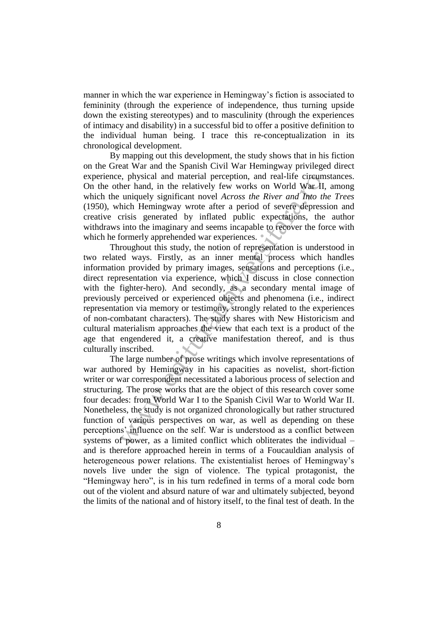manner in which the war experience in Hemingway's fiction is associated to femininity (through the experience of independence, thus turning upside down the existing stereotypes) and to masculinity (through the experiences of intimacy and disability) in a successful bid to offer a positive definition to the individual human being. I trace this re-conceptualization in its chronological development.

By mapping out this development, the study shows that in his fiction on the Great War and the Spanish Civil War Hemingway privileged direct experience, physical and material perception, and real-life circumstances. On the other hand, in the relatively few works on World War II, among which the uniquely significant novel *Across the River and Into the Trees* (1950), which Hemingway wrote after a period of severe depression and creative crisis generated by inflated public expectations, the author withdraws into the imaginary and seems incapable to recover the force with which he formerly apprehended war experiences.  $\bullet$ 

s, physical and material perception, and real-life circums<br>her hand, in the relatively few works on World War II,<br>uniquely significant novel *Across the River and Thto tha*<br>hich Hemingway wrote after a period of severe de Throughout this study, the notion of representation is understood in two related ways. Firstly, as an inner mental process which handles information provided by primary images, sensations and perceptions (i.e., direct representation via experience, which I discuss in close connection with the fighter-hero). And secondly, as a secondary mental image of previously perceived or experienced objects and phenomena (i.e., indirect representation via memory or testimony, strongly related to the experiences of non-combatant characters). The study shares with New Historicism and cultural materialism approaches the view that each text is a product of the age that engendered it, a creative manifestation thereof, and is thus culturally inscribed.

The large number of prose writings which involve representations of war authored by Hemingway in his capacities as novelist, short-fiction writer or war correspondent necessitated a laborious process of selection and structuring. The prose works that are the object of this research cover some four decades: from World War I to the Spanish Civil War to World War II. Nonetheless, the study is not organized chronologically but rather structured function of various perspectives on war, as well as depending on these perceptions' influence on the self. War is understood as a conflict between systems of power, as a limited conflict which obliterates the individual – and is therefore approached herein in terms of a Foucauldian analysis of heterogeneous power relations. The existentialist heroes of Hemingway's novels live under the sign of violence. The typical protagonist, the "Hemingway hero", is in his turn redefined in terms of a moral code born out of the violent and absurd nature of war and ultimately subjected, beyond the limits of the national and of history itself, to the final test of death. In the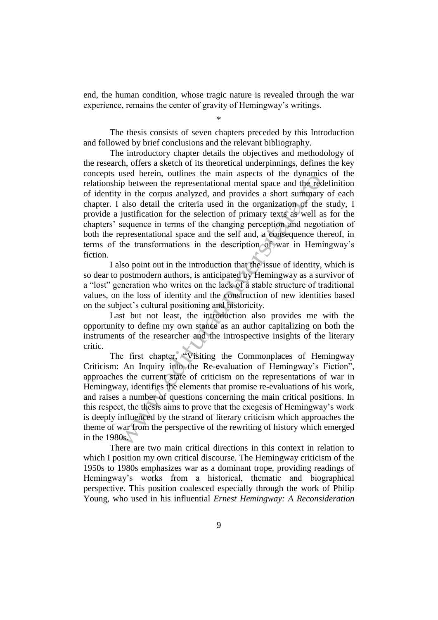end, the human condition, whose tragic nature is revealed through the war experience, remains the center of gravity of Hemingway's writings.

\*

The thesis consists of seven chapters preceded by this Introduction and followed by brief conclusions and the relevant bibliography.

The introductory chapter details the objectives and methodology of the research, offers a sketch of its theoretical underpinnings, defines the key concepts used herein, outlines the main aspects of the dynamics of the relationship between the representational mental space and the redefinition of identity in the corpus analyzed, and provides a short summary of each chapter. I also detail the criteria used in the organization of the study, I provide a justification for the selection of primary texts as well as for the chapters' sequence in terms of the changing perception and negotiation of both the representational space and the self and, a consequence thereof, in terms of the transformations in the description of war in Hemingway's fiction.

I also point out in the introduction that the issue of identity, which is so dear to postmodern authors, is anticipated by Hemingway as a survivor of a "lost" generation who writes on the lack of a stable structure of traditional values, on the loss of identity and the construction of new identities based on the subject's cultural positioning and historicity.

Last but not least, the introduction also provides me with the opportunity to define my own stance as an author capitalizing on both the instruments of the researcher and the introspective insights of the literary critic.

assess necessitation for the example of the eyresis of the eyres of the example between the representational mental space and the reduction for the selection of the interval associated in the organization of the sequence The first chapter, "Visiting the Commonplaces of Hemingway Criticism: An Inquiry into the Re-evaluation of Hemingway's Fiction", approaches the current state of criticism on the representations of war in Hemingway, identifies the elements that promise re-evaluations of his work, and raises a number of questions concerning the main critical positions. In this respect, the thesis aims to prove that the exegesis of Hemingway's work is deeply influenced by the strand of literary criticism which approaches the theme of war from the perspective of the rewriting of history which emerged in the 1980s.

There are two main critical directions in this context in relation to which I position my own critical discourse. The Hemingway criticism of the 1950s to 1980s emphasizes war as a dominant trope, providing readings of Hemingway's works from a historical, thematic and biographical perspective. This position coalesced especially through the work of Philip Young, who used in his influential *Ernest Hemingway: A Reconsideration*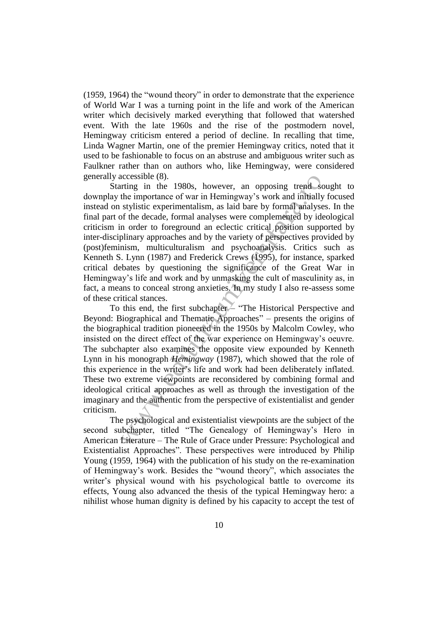$(1959, 1964)$  the "wound theory" in order to demonstrate that the experience of World War I was a turning point in the life and work of the American writer which decisively marked everything that followed that watershed event. With the late 1960s and the rise of the postmodern novel, Hemingway criticism entered a period of decline. In recalling that time, Linda Wagner Martin, one of the premier Hemingway critics, noted that it used to be fashionable to focus on an abstruse and ambiguous writer such as Faulkner rather than on authors who, like Hemingway, were considered generally accessible (8).

accessible (8).<br>
urting in the 1980s, however, an opposing trend souting in the importance of war in Hemingway's work and initially stylistic experimentalism, as laid bare by formal analyses<br>
of the decade, formal analyse Starting in the 1980s, however, an opposing trend sought to downplay the importance of war in Hemingway's work and initially focused instead on stylistic experimentalism, as laid bare by formal analyses. In the final part of the decade, formal analyses were complemented by ideological criticism in order to foreground an eclectic critical position supported by inter-disciplinary approaches and by the variety of perspectives provided by (post)feminism, multiculturalism and psychoanalysis. Critics such as Kenneth S. Lynn (1987) and Frederick Crews (1995), for instance, sparked critical debates by questioning the significance of the Great War in Hemingway's life and work and by unmasking the cult of masculinity as, in fact, a means to conceal strong anxieties. In my study I also re-assess some of these critical stances.

To this end, the first subchapter – "The Historical Perspective and Beyond: Biographical and Thematic Approaches" – presents the origins of the biographical tradition pioneered in the 1950s by Malcolm Cowley, who insisted on the direct effect of the war experience on Hemingway's oeuvre. The subchapter also examines the opposite view expounded by Kenneth Lynn in his monograph *Hemingway* (1987), which showed that the role of this experience in the writer's life and work had been deliberately inflated. These two extreme viewpoints are reconsidered by combining formal and ideological critical approaches as well as through the investigation of the imaginary and the authentic from the perspective of existentialist and gender criticism.

The psychological and existentialist viewpoints are the subject of the second subchapter, titled "The Genealogy of Hemingway's Hero in American Literature – The Rule of Grace under Pressure: Psychological and Existentialist Approaches". These perspectives were introduced by Philip Young (1959, 1964) with the publication of his study on the re-examination of Hemingway's work. Besides the "wound theory", which associates the writer's physical wound with his psychological battle to overcome its effects, Young also advanced the thesis of the typical Hemingway hero: a nihilist whose human dignity is defined by his capacity to accept the test of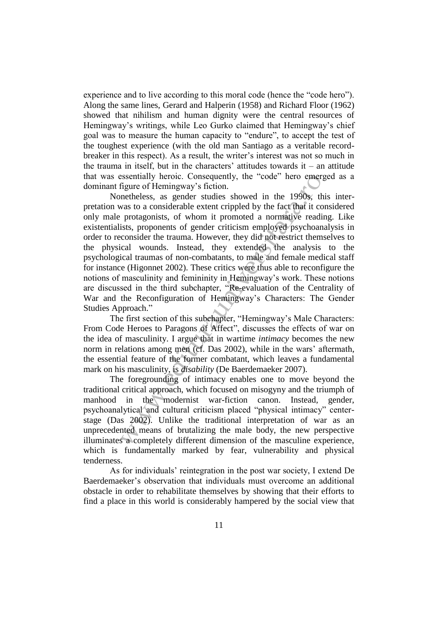experience and to live according to this moral code (hence the "code hero"). Along the same lines, Gerard and Halperin (1958) and Richard Floor (1962) showed that nihilism and human dignity were the central resources of Hemingway's writings, while Leo Gurko claimed that Hemingway's chief goal was to measure the human capacity to "endure", to accept the test of the toughest experience (with the old man Santiago as a veritable recordbreaker in this respect). As a result, the writer's interest was not so much in the trauma in itself, but in the characters' attitudes towards it – an attitude that was essentially heroic. Consequently, the "code" hero emerged as a dominant figure of Hemingway's fiction.

essentially heroic. Consequently, the "code" hero emerge<br>figure of Hemingway's fiction.<br>The metheless, as gender studies showed in the 1990s, this<br>was to a considerable extent crippled by the fact that it con<br>protagonists Nonetheless, as gender studies showed in the 1990s, this interpretation was to a considerable extent crippled by the fact that it considered only male protagonists, of whom it promoted a normative reading. Like existentialists, proponents of gender criticism employed psychoanalysis in order to reconsider the trauma. However, they did not restrict themselves to the physical wounds. Instead, they extended the analysis to the psychological traumas of non-combatants, to male and female medical staff for instance (Higonnet 2002). These critics were thus able to reconfigure the notions of masculinity and femininity in Hemingway's work. These notions are discussed in the third subchapter, "Re-evaluation of the Centrality of War and the Reconfiguration of Hemingway's Characters: The Gender Studies Approach."

The first section of this subchapter, "Hemingway's Male Characters: From Code Heroes to Paragons of Affect", discusses the effects of war on the idea of masculinity. I argue that in wartime *intimacy* becomes the new norm in relations among men (cf. Das 2002), while in the wars' aftermath, the essential feature of the former combatant, which leaves a fundamental mark on his masculinity, is *disability* (De Baerdemaeker 2007).

The foregrounding of intimacy enables one to move beyond the traditional critical approach, which focused on misogyny and the triumph of manhood in the modernist war-fiction canon. Instead, gender, psychoanalytical and cultural criticism placed "physical intimacy" centerstage (Das 2002). Unlike the traditional interpretation of war as an unprecedented means of brutalizing the male body, the new perspective illuminates a completely different dimension of the masculine experience, which is fundamentally marked by fear, vulnerability and physical tenderness.

As for individuals' reintegration in the post war society, I extend De Baerdemaeker's observation that individuals must overcome an additional obstacle in order to rehabilitate themselves by showing that their efforts to find a place in this world is considerably hampered by the social view that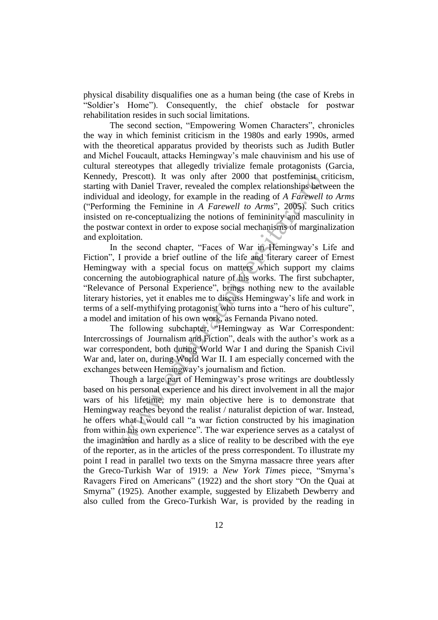physical disability disqualifies one as a human being (the case of Krebs in ―Soldier's Home‖). Consequently, the chief obstacle for postwar rehabilitation resides in such social limitations.

The second section, "Empowering Women Characters", chronicles the way in which feminist criticism in the 1980s and early 1990s, armed with the theoretical apparatus provided by theorists such as Judith Butler and Michel Foucault, attacks Hemingway's male chauvinism and his use of cultural stereotypes that allegedly trivialize female protagonists (Garcia, Kennedy, Prescott). It was only after 2000 that postfeminist criticism, starting with Daniel Traver, revealed the complex relationships between the individual and ideology, for example in the reading of *A Farewell to Arms* ("Performing the Feminine in *A Farewell to Arms*", 2005). Such critics insisted on re-conceptualizing the notions of femininity and masculinity in the postwar context in order to expose social mechanisms of marginalization and exploitation.

Prescott). It was only after 2000 that postterminist critical than Daniel Traver, revealed the complex relationships between and ideology, for example in the reading of A Farewell ting the Feminine in A Farewell to Arms", In the second chapter, "Faces of War in Hemingway's Life and Fiction", I provide a brief outline of the life and literary career of Ernest Hemingway with a special focus on matters which support my claims concerning the autobiographical nature of his works. The first subchapter, "Relevance of Personal Experience", brings nothing new to the available literary histories, yet it enables me to discuss Hemingway's life and work in terms of a self-mythifying protagonist who turns into a "hero of his culture", a model and imitation of his own work, as Fernanda Pivano noted.

The following subchapter, "Hemingway as War Correspondent: Intercrossings of Journalism and Fiction", deals with the author's work as a war correspondent, both during World War I and during the Spanish Civil War and, later on, during World War II. I am especially concerned with the exchanges between Hemingway's journalism and fiction.

Though a large part of Hemingway's prose writings are doubtlessly based on his personal experience and his direct involvement in all the major wars of his lifetime, my main objective here is to demonstrate that Hemingway reaches beyond the realist / naturalist depiction of war. Instead, he offers what I would call "a war fiction constructed by his imagination from within his own experience". The war experience serves as a catalyst of the imagination and hardly as a slice of reality to be described with the eye of the reporter, as in the articles of the press correspondent. To illustrate my point I read in parallel two texts on the Smyrna massacre three years after the Greco-Turkish War of 1919: a *New York Times* piece, "Smyrna's Ravagers Fired on Americans" (1922) and the short story "On the Quai at Smyrna" (1925). Another example, suggested by Elizabeth Dewberry and also culled from the Greco-Turkish War, is provided by the reading in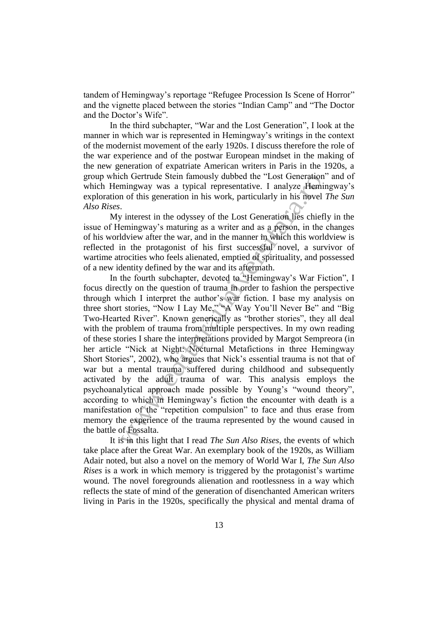tandem of Hemingway's reportage "Refugee Procession Is Scene of Horror" and the vignette placed between the stories "Indian Camp" and "The Doctor and the Doctor's Wife".

In the third subchapter, "War and the Lost Generation", I look at the manner in which war is represented in Hemingway's writings in the context of the modernist movement of the early 1920s. I discuss therefore the role of the war experience and of the postwar European mindset in the making of the new generation of expatriate American writers in Paris in the 1920s, a group which Gertrude Stein famously dubbed the "Lost Generation" and of which Hemingway was a typical representative. I analyze Hemingway's exploration of this generation in his work, particularly in his novel *The Sun Also Rises*.

My interest in the odyssey of the Lost Generation lies chiefly in the issue of Hemingway's maturing as a writer and as a person, in the changes of his worldview after the war, and in the manner in which this worldview is reflected in the protagonist of his first successful novel, a survivor of wartime atrocities who feels alienated, emptied of spirituality, and possessed of a new identity defined by the war and its aftermath.

chiefture Stern tamously dubbed the "Lost Generation"<br>mingway was a typical representative. I analyze Heminingway<br>in o f this generation in his work, particularly in his novel 7.<br>in mingway's maturing as a writter and as In the fourth subchapter, devoted to "Hemingway's War Fiction", I focus directly on the question of trauma in order to fashion the perspective through which I interpret the author's war fiction. I base my analysis on three short stories, "Now I Lay Me," "A Way You'll Never Be" and "Big Two-Hearted River". Known generically as "brother stories", they all deal with the problem of trauma from multiple perspectives. In my own reading of these stories I share the interpretations provided by Margot Sempreora (in her article "Nick at Night: Nocturnal Metafictions in three Hemingway Short Stories", 2002), who argues that Nick's essential trauma is not that of war but a mental trauma suffered during childhood and subsequently activated by the adult trauma of war. This analysis employs the psychoanalytical approach made possible by Young's "wound theory", according to which in Hemingway's fiction the encounter with death is a manifestation of the "repetition compulsion" to face and thus erase from memory the experience of the trauma represented by the wound caused in the battle of Fossalta.

It is in this light that I read *The Sun Also Rises*, the events of which take place after the Great War. An exemplary book of the 1920s, as William Adair noted, but also a novel on the memory of World War I, *The Sun Also Rises* is a work in which memory is triggered by the protagonist's wartime wound. The novel foregrounds alienation and rootlessness in a way which reflects the state of mind of the generation of disenchanted American writers living in Paris in the 1920s, specifically the physical and mental drama of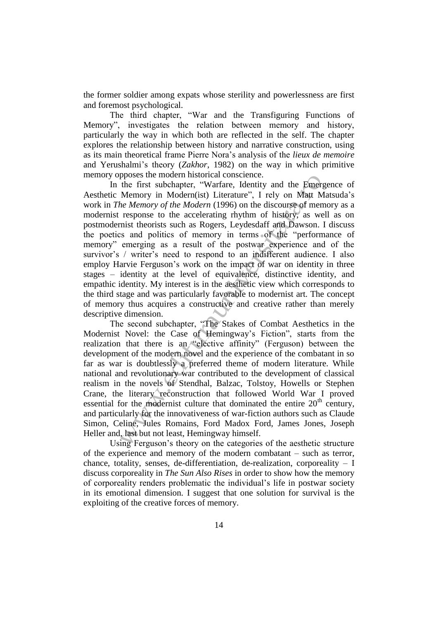the former soldier among expats whose sterility and powerlessness are first and foremost psychological.

The third chapter, "War and the Transfiguring Functions of Memory", investigates the relation between memory and history, particularly the way in which both are reflected in the self. The chapter explores the relationship between history and narrative construction, using as its main theoretical frame Pierre Nora's analysis of the *lieux de memoire* and Yerushalmi's theory (*Zakhor*, 1982) on the way in which primitive memory opposes the modern historical conscience.

phoses the modern instolated considerate.<br>
the first subchapter, "Warfare, Identity and the Emerge Memory in Modern(ist) Literature", I rely on Matt Ma<br> *he Memory of the Modern* (1996) on the discourse of memory in Subce In the first subchapter, "Warfare, Identity and the Emergence of Aesthetic Memory in Modern(ist) Literature", I rely on Matt Matsuda's work in *The Memory of the Modern* (1996) on the discourse of memory as a modernist response to the accelerating rhythm of history, as well as on postmodernist theorists such as Rogers, Leydesdaff and Dawson. I discuss the poetics and politics of memory in terms of the "performance of memory" emerging as a result of the postwar experience and of the survivor's / writer's need to respond to an indifferent audience. I also employ Harvie Ferguson's work on the impact of war on identity in three stages – identity at the level of equivalence, distinctive identity, and empathic identity. My interest is in the aesthetic view which corresponds to the third stage and was particularly favorable to modernist art. The concept of memory thus acquires a constructive and creative rather than merely descriptive dimension.

The second subchapter, "The Stakes of Combat Aesthetics in the Modernist Novel: the Case of Hemingway's Fiction", starts from the realization that there is an "elective affinity" (Ferguson) between the development of the modern novel and the experience of the combatant in so far as war is doubtlessly a preferred theme of modern literature. While national and revolutionary war contributed to the development of classical realism in the novels of Stendhal, Balzac, Tolstoy, Howells or Stephen Crane, the literary reconstruction that followed World War I proved essential for the modernist culture that dominated the entire  $20<sup>th</sup>$  century, and particularly for the innovativeness of war-fiction authors such as Claude Simon, Celine, Jules Romains, Ford Madox Ford, James Jones, Joseph Heller and, last but not least, Hemingway himself.

Using Ferguson's theory on the categories of the aesthetic structure of the experience and memory of the modern combatant – such as terror, chance, totality, senses, de-differentiation, de-realization, corporeality  $- I$ discuss corporeality in *The Sun Also Rises* in order to show how the memory of corporeality renders problematic the individual's life in postwar society in its emotional dimension. I suggest that one solution for survival is the exploiting of the creative forces of memory.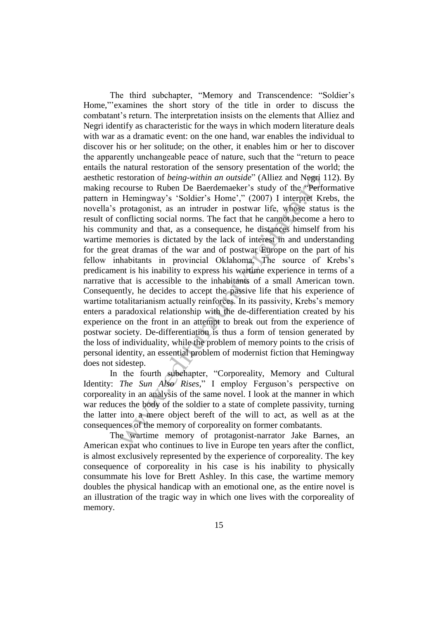estoration of *being-within an outside*" (Alliez and Negri 1<br>estocuse to Ruben De Baerdemacker's study of the "Perform<br>Hemingway's 'Soldier's Home'," (2007) 1 interpret Kre<br>protagonist, as an intruder in postwar life, who The third subchapter, "Memory and Transcendence: "Soldier's Home,"'examines the short story of the title in order to discuss the combatant's return. The interpretation insists on the elements that Alliez and Negri identify as characteristic for the ways in which modern literature deals with war as a dramatic event: on the one hand, war enables the individual to discover his or her solitude; on the other, it enables him or her to discover the apparently unchangeable peace of nature, such that the "return to peace" entails the natural restoration of the sensory presentation of the world; the aesthetic restoration of *being-within an outside*" (Alliez and Negri 112). By making recourse to Ruben De Baerdemaeker's study of the "Performative" pattern in Hemingway's 'Soldier's Home'," (2007) I interpret Krebs, the novella's protagonist, as an intruder in postwar life, whose status is the result of conflicting social norms. The fact that he cannot become a hero to his community and that, as a consequence, he distances himself from his wartime memories is dictated by the lack of interest in and understanding for the great dramas of the war and of postwar Europe on the part of his fellow inhabitants in provincial Oklahoma. The source of Krebs's predicament is his inability to express his wartime experience in terms of a narrative that is accessible to the inhabitants of a small American town. Consequently, he decides to accept the passive life that his experience of wartime totalitarianism actually reinforces. In its passivity, Krebs's memory enters a paradoxical relationship with the de-differentiation created by his experience on the front in an attempt to break out from the experience of postwar society. De-differentiation is thus a form of tension generated by the loss of individuality, while the problem of memory points to the crisis of personal identity, an essential problem of modernist fiction that Hemingway does not sidestep.

In the fourth subchapter, "Corporeality, Memory and Cultural Identity: *The Sun Also Rises*," I employ Ferguson's perspective on corporeality in an analysis of the same novel. I look at the manner in which war reduces the body of the soldier to a state of complete passivity, turning the latter into a mere object bereft of the will to act, as well as at the consequences of the memory of corporeality on former combatants.

The wartime memory of protagonist-narrator Jake Barnes, an American expat who continues to live in Europe ten years after the conflict, is almost exclusively represented by the experience of corporeality. The key consequence of corporeality in his case is his inability to physically consummate his love for Brett Ashley. In this case, the wartime memory doubles the physical handicap with an emotional one, as the entire novel is an illustration of the tragic way in which one lives with the corporeality of memory.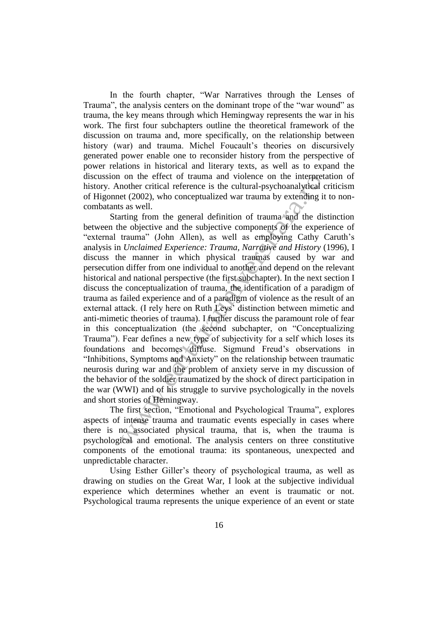In the fourth chapter, "War Narratives through the Lenses of Trauma", the analysis centers on the dominant trope of the "war wound" as trauma, the key means through which Hemingway represents the war in his work. The first four subchapters outline the theoretical framework of the discussion on trauma and, more specifically, on the relationship between history (war) and trauma. Michel Foucault's theories on discursively generated power enable one to reconsider history from the perspective of power relations in historical and literary texts, as well as to expand the discussion on the effect of trauma and violence on the interpretation of history. Another critical reference is the cultural-psychoanalytical criticism of Higonnet (2002), who conceptualized war trauma by extending it to noncombatants as well.

on the ertect of trauma and violence on the intepheta<br>nother critical reference is the cultural-psychonalytical critical<br>ret (2002), who conceptualized war trauma by extending it<br>star et (2002), who conceptualized war tra Starting from the general definition of trauma and the distinction between the objective and the subjective components of the experience of "external trauma" (John Allen), as well as employing Cathy Caruth's analysis in *Unclaimed Experience: Trauma, Narrative and History* (1996), I discuss the manner in which physical traumas caused by war and persecution differ from one individual to another and depend on the relevant historical and national perspective (the first subchapter). In the next section I discuss the conceptualization of trauma, the identification of a paradigm of trauma as failed experience and of a paradigm of violence as the result of an external attack. (I rely here on Ruth Leys' distinction between mimetic and anti-mimetic theories of trauma). I further discuss the paramount role of fear in this conceptualization (the second subchapter, on "Conceptualizing Trauma"). Fear defines a new type of subjectivity for a self which loses its foundations and becomes diffuse. Sigmund Freud's observations in "Inhibitions, Symptoms and Anxiety" on the relationship between traumatic neurosis during war and the problem of anxiety serve in my discussion of the behavior of the soldier traumatized by the shock of direct participation in the war (WWI) and of his struggle to survive psychologically in the novels and short stories of Hemingway.

The first section, "Emotional and Psychological Trauma", explores aspects of intense trauma and traumatic events especially in cases where there is no associated physical trauma, that is, when the trauma is psychological and emotional. The analysis centers on three constitutive components of the emotional trauma: its spontaneous, unexpected and unpredictable character.

Using Esther Giller's theory of psychological trauma, as well as drawing on studies on the Great War, I look at the subjective individual experience which determines whether an event is traumatic or not. Psychological trauma represents the unique experience of an event or state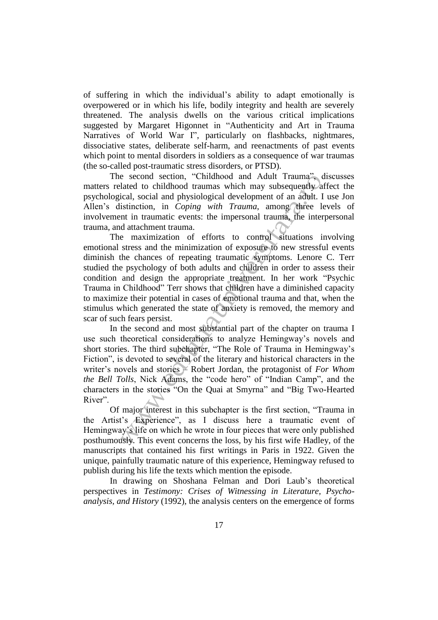of suffering in which the individual's ability to adapt emotionally is overpowered or in which his life, bodily integrity and health are severely threatened. The analysis dwells on the various critical implications suggested by Margaret Higonnet in "Authenticity and Art in Trauma" Narratives of World War I", particularly on flashbacks, nightmares, dissociative states, deliberate self-harm, and reenactments of past events which point to mental disorders in soldiers as a consequence of war traumas (the so-called post-traumatic stress disorders, or PTSD).

The second section, "Childhood and Adult Trauma", discusses matters related to childhood traumas which may subsequently affect the psychological, social and physiological development of an adult. I use Jon Allen's distinction, in *Coping with Trauma*, among three levels of involvement in traumatic events: the impersonal trauma, the interpersonal trauma, and attachment trauma.

e second section, "Childhood and Adult Irauma", di<br>alted to childhood traumas which may subsequently afflicted to childhood traumas which may subsequently afficial, social and physiological development of an adult. I istin The maximization of efforts to control situations involving emotional stress and the minimization of exposure to new stressful events diminish the chances of repeating traumatic symptoms. Lenore C. Terr studied the psychology of both adults and children in order to assess their condition and design the appropriate treatment. In her work "Psychic Trauma in Childhood" Terr shows that children have a diminished capacity to maximize their potential in cases of emotional trauma and that, when the stimulus which generated the state of anxiety is removed, the memory and scar of such fears persist.

In the second and most substantial part of the chapter on trauma I use such theoretical considerations to analyze Hemingway's novels and short stories. The third subchapter, "The Role of Trauma in Hemingway's Fiction", is devoted to several of the literary and historical characters in the writer's novels and stories – Robert Jordan, the protagonist of *For Whom*  the Bell Tolls, Nick Adams, the "code hero" of "Indian Camp", and the characters in the stories "On the Quai at Smyrna" and "Big Two-Hearted River".

Of major interest in this subchapter is the first section, "Trauma in the Artist's Experience", as I discuss here a traumatic event of Hemingway's life on which he wrote in four pieces that were only published posthumously. This event concerns the loss, by his first wife Hadley, of the manuscripts that contained his first writings in Paris in 1922. Given the unique, painfully traumatic nature of this experience, Hemingway refused to publish during his life the texts which mention the episode.

In drawing on Shoshana Felman and Dori Laub's theoretical perspectives in *Testimony: Crises of Witnessing in Literature, Psychoanalysis, and History* (1992), the analysis centers on the emergence of forms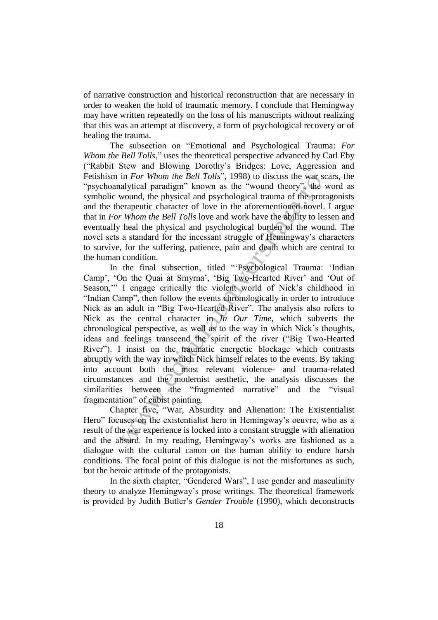of narrative construction and historical reconstruction that are necessary in order to weaken the hold of traumatic memory. I conclude that Hemingway may have written repeatedly on the loss of his manuscripts without realizing that this was an attempt at discovery, a form of psychological recovery or of healing the trauma.

The subsection on "Emotional and Psychological Trauma: *For Whom the Bell Tolls*," uses the theoretical perspective advanced by Carl Eby (―Rabbit Stew and Blowing Dorothy's Bridges: Love, Aggression and Fetishism in *For Whom the Bell Tolls*", 1998) to discuss the war scars, the "psychoanalytical paradigm" known as the "wound theory", the word as symbolic wound, the physical and psychological trauma of the protagonists and the therapeutic character of love in the aforementioned novel. I argue that in *For Whom the Bell Tolls* love and work have the ability to lessen and eventually heal the physical and psychological burden of the wound. The novel sets a standard for the incessant struggle of Hemingway's characters to survive, for the suffering, patience, pain and death which are central to the human condition.

in For Whom the Bell 1olls", 1998) to discuss the wars actually<br>it and paradigm" known as the "wound theory", the vivale alalytical paradigm" known as the "wound the physical and psychological trauma of the protect<br>erapeu In the final subsection, titled "Psychological Trauma: 'Indian Camp', 'On the Quai at Smyrna', 'Big Two-Hearted River' and 'Out of Season," I engage critically the violent world of Nick's childhood in "Indian Camp", then follow the events chronologically in order to introduce Nick as an adult in "Big Two-Hearted River". The analysis also refers to Nick as the central character in *In Our Time*, which subverts the chronological perspective, as well as to the way in which Nick's thoughts, ideas and feelings transcend the spirit of the river ("Big Two-Hearted River"). I insist on the traumatic energetic blockage which contrasts abruptly with the way in which Nick himself relates to the events. By taking into account both the most relevant violence- and trauma-related circumstances and the modernist aesthetic, the analysis discusses the similarities between the "fragmented narrative" and the "visual fragmentation" of cubist painting.

Chapter five, "War, Absurdity and Alienation: The Existentialist Hero" focuses on the existentialist hero in Hemingway's oeuvre, who as a result of the war experience is locked into a constant struggle with alienation and the absurd. In my reading, Hemingway's works are fashioned as a dialogue with the cultural canon on the human ability to endure harsh conditions. The focal point of this dialogue is not the misfortunes as such, but the heroic attitude of the protagonists.

In the sixth chapter, "Gendered Wars", I use gender and masculinity theory to analyze Hemingway's prose writings. The theoretical framework is provided by Judith Butler's *Gender Trouble* (1990), which deconstructs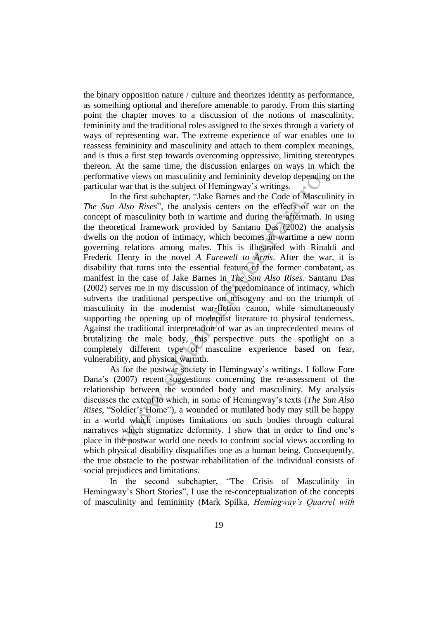the binary opposition nature / culture and theorizes identity as performance, as something optional and therefore amenable to parody. From this starting point the chapter moves to a discussion of the notions of masculinity, femininity and the traditional roles assigned to the sexes through a variety of ways of representing war. The extreme experience of war enables one to reassess femininity and masculinity and attach to them complex meanings, and is thus a first step towards overcoming oppressive, limiting stereotypes thereon. At the same time, the discussion enlarges on ways in which the performative views on masculinity and femininity develop depending on the particular war that is the subject of Hemingway's writings.

We views on masculintly and reminity develop depending<br>war that is the subject of Hemingway's writings.<br>The first subchapter, "Jake Barnes and the Code of Mascul<br>*Also Rises*", the analysis centers on the effects of war<br> In the first subchapter, "Jake Barnes and the Code of Masculinity in *The Sun Also Rises*", the analysis centers on the effects of war on the concept of masculinity both in wartime and during the aftermath. In using the theoretical framework provided by Santanu Das (2002) the analysis dwells on the notion of intimacy, which becomes in wartime a new norm governing relations among males. This is illustrated with Rinaldi and Frederic Henry in the novel *A Farewell to Arms*. After the war, it is disability that turns into the essential feature of the former combatant, as manifest in the case of Jake Barnes in *The Sun Also Rises*. Santanu Das (2002) serves me in my discussion of the predominance of intimacy, which subverts the traditional perspective on misogyny and on the triumph of masculinity in the modernist war-fiction canon, while simultaneously supporting the opening up of modernist literature to physical tenderness. Against the traditional interpretation of war as an unprecedented means of brutalizing the male body, this perspective puts the spotlight on a completely different type of masculine experience based on fear, vulnerability, and physical warmth.

As for the postwar society in Hemingway's writings, I follow Fore Dana's (2007) recent suggestions concerning the re-assessment of the relationship between the wounded body and masculinity. My analysis discusses the extent to which, in some of Hemingway's texts (*The Sun Also Rises*, "Soldier's Home"), a wounded or mutilated body may still be happy in a world which imposes limitations on such bodies through cultural narratives which stigmatize deformity. I show that in order to find one's place in the postwar world one needs to confront social views according to which physical disability disqualifies one as a human being. Consequently, the true obstacle to the postwar rehabilitation of the individual consists of social prejudices and limitations.

In the second subchapter, "The Crisis of Masculinity in Hemingway's Short Stories", I use the re-conceptualization of the concepts of masculinity and femininity (Mark Spilka, *Hemingway"s Quarrel with*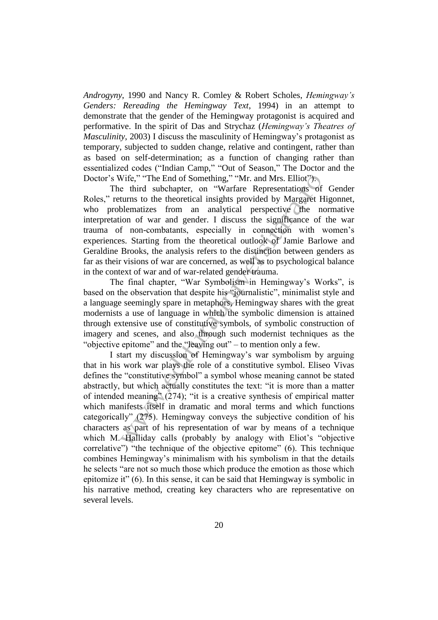*Androgyny*, 1990 and Nancy R. Comley & Robert Scholes, *Hemingway"s Genders: Rereading the Hemingway Text*, 1994) in an attempt to demonstrate that the gender of the Hemingway protagonist is acquired and performative. In the spirit of Das and Strychaz (*Hemingway"s Theatres of Masculinity*, 2003) I discuss the masculinity of Hemingway's protagonist as temporary, subjected to sudden change, relative and contingent, rather than as based on self-determination; as a function of changing rather than essentialized codes ("Indian Camp," "Out of Season," The Doctor and the Doctor's Wife," "The End of Something," "Mr. and Mrs. Elliot").

The third subchapter, on "Warfare Representations of Gender Roles," returns to the theoretical insights provided by Margaret Higonnet, who problematizes from an analytical perspective the normative interpretation of war and gender. I discuss the significance of the war trauma of non-combatants, especially in connection with women's experiences. Starting from the theoretical outlook of Jamie Barlowe and Geraldine Brooks, the analysis refers to the distinction between genders as far as their visions of war are concerned, as well as to psychological balance in the context of war and of war-related gender trauma.

The final chapter, "War Symbolism in Hemingway's Works", is based on the observation that despite his "journalistic", minimalist style and a language seemingly spare in metaphors, Hemingway shares with the great modernists a use of language in which the symbolic dimension is attained through extensive use of constitutive symbols, of symbolic construction of imagery and scenes, and also through such modernist techniques as the "objective epitome" and the "leaving out" – to mention only a few.

Wife," "The End of Something," "Mr. and Mrs. Elliot")<br>
e third subchapter, on "Warfare Representations of<br>
turns to the theoretical insights provided by Margaret Hi<br>
turns to the theoretical insights provided by Margaret I start my discussion of Hemingway's war symbolism by arguing that in his work war plays the role of a constitutive symbol. Eliseo Vivas defines the "constitutive symbol" a symbol whose meaning cannot be stated abstractly, but which actually constitutes the text: "it is more than a matter of intended meaning"  $(274)$ ; "it is a creative synthesis of empirical matter which manifests itself in dramatic and moral terms and which functions categorically" (275). Hemingway conveys the subjective condition of his characters as part of his representation of war by means of a technique which M. Halliday calls (probably by analogy with Eliot's "objective correlative") "the technique of the objective epitome"  $(6)$ . This technique combines Hemingway's minimalism with his symbolism in that the details he selects "are not so much those which produce the emotion as those which epitomize it"  $(6)$ . In this sense, it can be said that Hemingway is symbolic in his narrative method, creating key characters who are representative on several levels.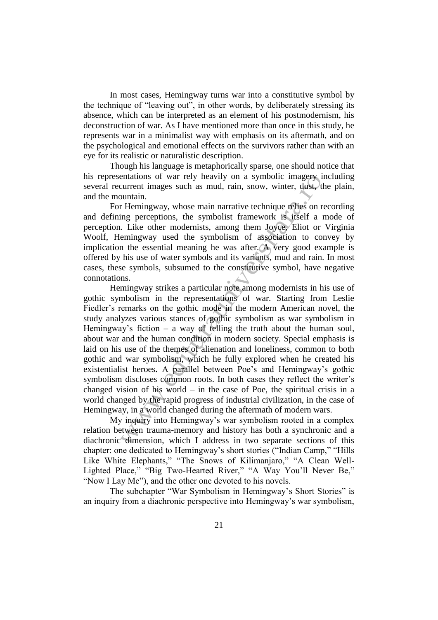In most cases, Hemingway turns war into a constitutive symbol by the technique of "leaving out", in other words, by deliberately stressing its absence, which can be interpreted as an element of his postmodernism, his deconstruction of war. As I have mentioned more than once in this study, he represents war in a minimalist way with emphasis on its aftermath, and on the psychological and emotional effects on the survivors rather than with an eye for its realistic or naturalistic description.

Though his language is metaphorically sparse, one should notice that his representations of war rely heavily on a symbolic imagery including several recurrent images such as mud, rain, snow, winter, dust, the plain, and the mountain.

For Hemingway, whose main narrative technique relies on recording and defining perceptions, the symbolist framework is itself a mode of perception. Like other modernists, among them Joyce, Eliot or Virginia Woolf, Hemingway used the symbolism of association to convey by implication the essential meaning he was after. A very good example is offered by his use of water symbols and its variants, mud and rain. In most cases, these symbols, subsumed to the constitutive symbol, have negative connotations.

entations of war rely heavily on a symbolic imagery morturent images such as mud, rain, snow, winter, dust, the outmain.<br>
Lumentain.<br>
The outmains of the symbolist framework is itself a mortual<br>
L. Like other modernists, a Hemingway strikes a particular note among modernists in his use of gothic symbolism in the representations of war. Starting from Leslie Fiedler's remarks on the gothic mode in the modern American novel, the study analyzes various stances of gothic symbolism as war symbolism in Hemingway's fiction – a way of telling the truth about the human soul, about war and the human condition in modern society. Special emphasis is laid on his use of the themes of alienation and loneliness, common to both gothic and war symbolism, which he fully explored when he created his existentialist heroes**.** A parallel between Poe's and Hemingway's gothic symbolism discloses common roots. In both cases they reflect the writer's changed vision of his world  $-$  in the case of Poe, the spiritual crisis in a world changed by the rapid progress of industrial civilization, in the case of Hemingway, in a world changed during the aftermath of modern wars.

My inquiry into Hemingway's war symbolism rooted in a complex relation between trauma-memory and history has both a synchronic and a diachronic dimension, which I address in two separate sections of this chapter: one dedicated to Hemingway's short stories ("Indian Camp," "Hills Like White Elephants," "The Snows of Kilimanjaro," "A Clean Well-Lighted Place," "Big Two-Hearted River," "A Way You'll Never Be," "Now I Lay Me"), and the other one devoted to his novels.

The subchapter "War Symbolism in Hemingway's Short Stories" is an inquiry from a diachronic perspective into Hemingway's war symbolism,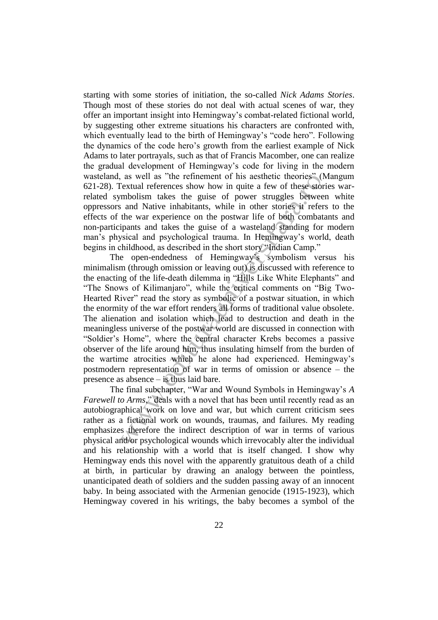starting with some stories of initiation, the so-called *Nick Adams Stories*. Though most of these stories do not deal with actual scenes of war, they offer an important insight into Hemingway's combat-related fictional world, by suggesting other extreme situations his characters are confronted with, which eventually lead to the birth of Hemingway's "code hero". Following the dynamics of the code hero's growth from the earliest example of Nick Adams to later portrayals, such as that of Francis Macomber, one can realize the gradual development of Hemingway's code for living in the modern wasteland, as well as "the refinement of his aesthetic theories" (Mangum 621-28). Textual references show how in quite a few of these stories warrelated symbolism takes the guise of power struggles between white oppressors and Native inhabitants, while in other stories it refers to the effects of the war experience on the postwar life of both combatants and non-participants and takes the guise of a wasteland standing for modern man's physical and psychological trauma. In Hemingway's world, death begins in childhood, as described in the short story "Indian Camp."

as well as "the reinnent of his acsthett theores" (Wextual references show how in quite a few of these slorit<br>ending models are models are also to the same throught as the word there is and Native inhabitants, while in ot The open-endedness of Hemingway's symbolism versus his minimalism (through omission or leaving out) is discussed with reference to the enacting of the life-death dilemma in "Hills Like White Elephants" and "The Snows of Kilimanjaro", while the critical comments on "Big Two-Hearted River" read the story as symbolic of a postwar situation, in which the enormity of the war effort renders all forms of traditional value obsolete. The alienation and isolation which lead to destruction and death in the meaningless universe of the postwar world are discussed in connection with "Soldier's Home", where the central character Krebs becomes a passive observer of the life around him, thus insulating himself from the burden of the wartime atrocities which he alone had experienced. Hemingway's postmodern representation of war in terms of omission or absence – the presence as absence – is thus laid bare.

The final subchapter, "War and Wound Symbols in Hemingway's A *Farewell to Arms*," deals with a novel that has been until recently read as an autobiographical work on love and war, but which current criticism sees rather as a fictional work on wounds, traumas, and failures. My reading emphasizes therefore the indirect description of war in terms of various physical and/or psychological wounds which irrevocably alter the individual and his relationship with a world that is itself changed. I show why Hemingway ends this novel with the apparently gratuitous death of a child at birth, in particular by drawing an analogy between the pointless, unanticipated death of soldiers and the sudden passing away of an innocent baby. In being associated with the Armenian genocide (1915-1923), which Hemingway covered in his writings, the baby becomes a symbol of the